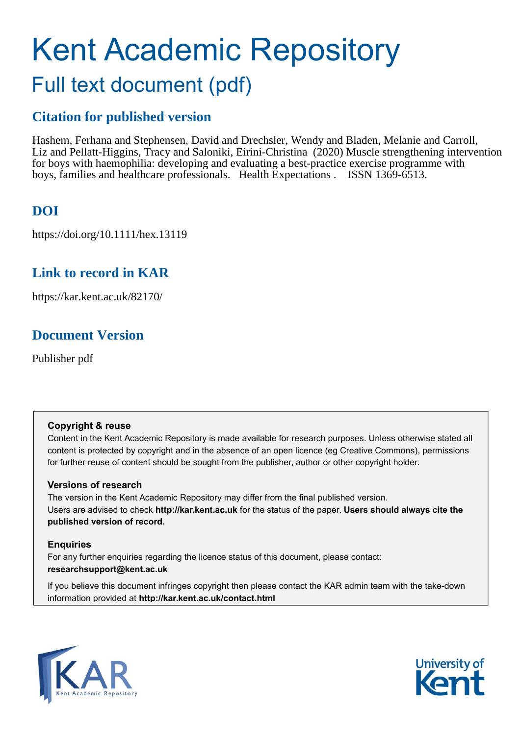# Kent Academic Repository Full text document (pdf)

# **Citation for published version**

Hashem, Ferhana and Stephensen, David and Drechsler, Wendy and Bladen, Melanie and Carroll, Liz and Pellatt-Higgins, Tracy and Saloniki, Eirini-Christina (2020) Muscle strengthening intervention for boys with haemophilia: developing and evaluating a best-practice exercise programme with boys, families and healthcare professionals. Health Expectations . ISSN 1369-6513.

# **DOI**

https://doi.org/10.1111/hex.13119

# **Link to record in KAR**

https://kar.kent.ac.uk/82170/

# **Document Version**

Publisher pdf

# **Copyright & reuse**

Content in the Kent Academic Repository is made available for research purposes. Unless otherwise stated all content is protected by copyright and in the absence of an open licence (eg Creative Commons), permissions for further reuse of content should be sought from the publisher, author or other copyright holder.

# **Versions of research**

The version in the Kent Academic Repository may differ from the final published version. Users are advised to check **http://kar.kent.ac.uk** for the status of the paper. **Users should always cite the published version of record.**

# **Enquiries**

For any further enquiries regarding the licence status of this document, please contact: **researchsupport@kent.ac.uk**

If you believe this document infringes copyright then please contact the KAR admin team with the take-down information provided at **http://kar.kent.ac.uk/contact.html**



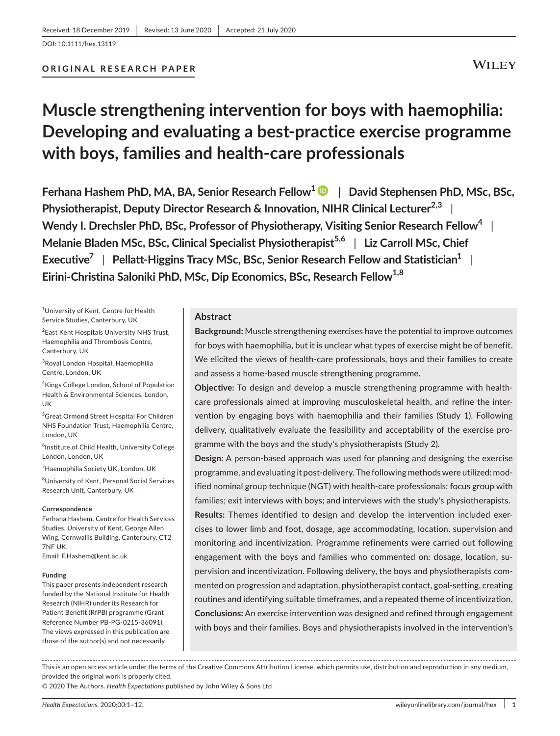# **Muscle strengthening intervention for boys with haemophilia: Developing and evaluating a best-practice exercise programme with boys, families and health-care professionals**

**Ferhana Hashem PhD, MA, BA, Senior Research Fellow1** | **David Stephensen PhD, MSc, BSc, Physiotherapist, Deputy Director Research & Innovation, NIHR Clinical Lecturer2,3** | **Wendy I. Drechsler PhD, BSc, Professor of Physiotherapy, Visiting Senior Research Fellow<sup>4</sup>** | **Melanie Bladen MSc, BSc, Clinical Specialist Physiotherapist<sup>5,6</sup> | Liz Carroll MSc, Chief Executive<sup>7</sup>** | **Pellatt-Higgins Tracy MSc, BSc, Senior Research Fellow and Statistician1** | Eirini-Christina Saloniki PhD, MSc, Dip Economics, BSc, Research Fellow<sup>1,8</sup>

1 University of Kent, Centre for Health Service Studies, Canterbury, UK

<sup>2</sup> East Kent Hospitals University NHS Trust, Haemophilia and Thrombosis Centre, Canterbury, UK

3 Royal London Hospital, Haemophilia Centre, London, UK

4 Kings College London, School of Population Health & Environmental Sciences, London, UK

5 Great Ormond Street Hospital For Children NHS Foundation Trust, Haemophilia Centre, London, UK

<sup>6</sup>Institute of Child Health, University College London, London, UK

<sup>7</sup>Haemophilia Society UK, London, UK

8 University of Kent, Personal Social Services Research Unit, Canterbury, UK

#### **Correspondence**

Ferhana Hashem, Centre for Health Services Studies, University of Kent, George Allen Wing, Cornwallis Building, Canterbury, CT2 7NF UK.

Email: [F.Hashem@kent.ac.uk](mailto:F.Hashem@kent.ac.uk)

#### **Funding**

This paper presents independent research funded by the National Institute for Health Research (NIHR) under its Research for Patient Benefit (RfPB) programme (Grant Reference Number PB-PG-0215-36091). The views expressed in this publication are those of the author(s) and not necessarily

#### **Abstract**

**Background:** Muscle strengthening exercises have the potential to improve outcomes for boys with haemophilia, but it is unclear what types of exercise might be of benefit. We elicited the views of health-care professionals, boys and their families to create and assess a home-based muscle strengthening programme.

**Objective:** To design and develop a muscle strengthening programme with healthcare professionals aimed at improving musculoskeletal health, and refine the intervention by engaging boys with haemophilia and their families (Study 1). Following delivery, qualitatively evaluate the feasibility and acceptability of the exercise programme with the boys and the study's physiotherapists (Study 2).

**Design:** A person-based approach was used for planning and designing the exercise programme, and evaluating it post-delivery. The following methods were utilized: modified nominal group technique (NGT) with health-care professionals; focus group with families; exit interviews with boys; and interviews with the study's physiotherapists. **Results:** Themes identified to design and develop the intervention included exercises to lower limb and foot, dosage, age accommodating, location, supervision and monitoring and incentivization. Programme refinements were carried out following engagement with the boys and families who commented on: dosage, location, supervision and incentivization. Following delivery, the boys and physiotherapists commented on progression and adaptation, physiotherapist contact, goal-setting, creating routines and identifying suitable timeframes, and a repeated theme of incentivization. **Conclusions:** An exercise intervention was designed and refined through engagement with boys and their families. Boys and physiotherapists involved in the intervention's

This is an open access article under the terms of the [Creative Commons Attribution](http://creativecommons.org/licenses/by/4.0/) License, which permits use, distribution and reproduction in any medium, provided the original work is properly cited.

© 2020 The Authors. *Health Expectations* published by John Wiley & Sons Ltd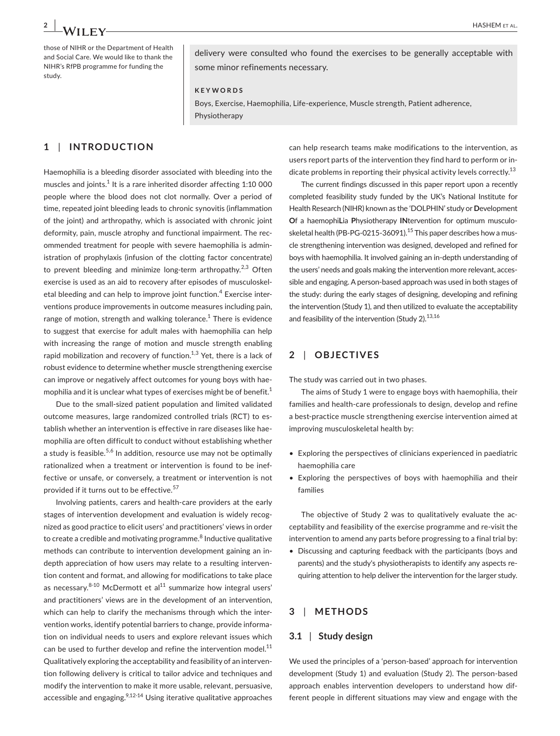those of NIHR or the Department of Health and Social Care. We would like to thank the NIHR's RfPB programme for funding the study.

delivery were consulted who found the exercises to be generally acceptable with some minor refinements necessary.

#### **KEYWORDS**

Boys, Exercise, Haemophilia, Life-experience, Muscle strength, Patient adherence, Physiotherapy

# **1** | **INTRODUCTION**

Haemophilia is a bleeding disorder associated with bleeding into the muscles and joints. $1$  It is a rare inherited disorder affecting 1:10 000 people where the blood does not clot normally. Over a period of time, repeated joint bleeding leads to chronic synovitis (inflammation of the joint) and arthropathy, which is associated with chronic joint deformity, pain, muscle atrophy and functional impairment. The recommended treatment for people with severe haemophilia is administration of prophylaxis (infusion of the clotting factor concentrate) to prevent bleeding and minimize long-term arthropathy.<sup>2,3</sup> Often exercise is used as an aid to recovery after episodes of musculoskeletal bleeding and can help to improve joint function.<sup>4</sup> Exercise interventions produce improvements in outcome measures including pain, range of motion, strength and walking tolerance. $^{\rm 1}$  There is evidence to suggest that exercise for adult males with haemophilia can help with increasing the range of motion and muscle strength enabling rapid mobilization and recovery of function. $1,3$  Yet, there is a lack of robust evidence to determine whether muscle strengthening exercise can improve or negatively affect outcomes for young boys with haemophilia and it is unclear what types of exercises might be of benefit.<sup>1</sup>

Due to the small-sized patient population and limited validated outcome measures, large randomized controlled trials (RCT) to establish whether an intervention is effective in rare diseases like haemophilia are often difficult to conduct without establishing whether a study is feasible.<sup>5,6</sup> In addition, resource use may not be optimally rationalized when a treatment or intervention is found to be ineffective or unsafe, or conversely, a treatment or intervention is not provided if it turns out to be effective.<sup>57</sup>

Involving patients, carers and health-care providers at the early stages of intervention development and evaluation is widely recognized as good practice to elicit users' and practitioners' views in order to create a credible and motivating programme.<sup>8</sup> Inductive qualitative methods can contribute to intervention development gaining an indepth appreciation of how users may relate to a resulting intervention content and format, and allowing for modifications to take place as necessary.  $8-10$  McDermott et al $^{11}$  summarize how integral users' and practitioners' views are in the development of an intervention, which can help to clarify the mechanisms through which the intervention works, identify potential barriers to change, provide information on individual needs to users and explore relevant issues which can be used to further develop and refine the intervention model. $^{11}$ Qualitatively exploring the acceptability and feasibility of an intervention following delivery is critical to tailor advice and techniques and modify the intervention to make it more usable, relevant, persuasive, accessible and engaging. $2,12-14$  Using iterative qualitative approaches

can help research teams make modifications to the intervention, as users report parts of the intervention they find hard to perform or indicate problems in reporting their physical activity levels correctly.<sup>13</sup>

The current findings discussed in this paper report upon a recently completed feasibility study funded by the UK's National Institute for Health Research (NIHR) known as the 'DOLPHIN' study or **D**evelopment **O**f a haemophi**L**ia **P**hysiotherapy **IN**tervention for optimum musculoskeletal health (PB-PG-0215-36091). $15$  This paper describes how a muscle strengthening intervention was designed, developed and refined for boys with haemophilia. It involved gaining an in-depth understanding of the users' needs and goals making the intervention more relevant, accessible and engaging. A person-based approach was used in both stages of the study: during the early stages of designing, developing and refining the intervention (Study 1), and then utilized to evaluate the acceptability and feasibility of the intervention (Study  $2$ ).<sup>13,16</sup>

# **2** | **OBJECTIVES**

The study was carried out in two phases.

The aims of Study 1 were to engage boys with haemophilia, their families and health-care professionals to design, develop and refine a best-practice muscle strengthening exercise intervention aimed at improving musculoskeletal health by:

- Exploring the perspectives of clinicians experienced in paediatric haemophilia care
- Exploring the perspectives of boys with haemophilia and their families

The objective of Study 2 was to qualitatively evaluate the acceptability and feasibility of the exercise programme and re-visit the intervention to amend any parts before progressing to a final trial by:

• Discussing and capturing feedback with the participants (boys and parents) and the study's physiotherapists to identify any aspects requiring attention to help deliver the intervention for the larger study.

### **3** | **METHODS**

#### **3.1** | **Study design**

We used the principles of a 'person-based' approach for intervention development (Study 1) and evaluation (Study 2). The person-based approach enables intervention developers to understand how different people in different situations may view and engage with the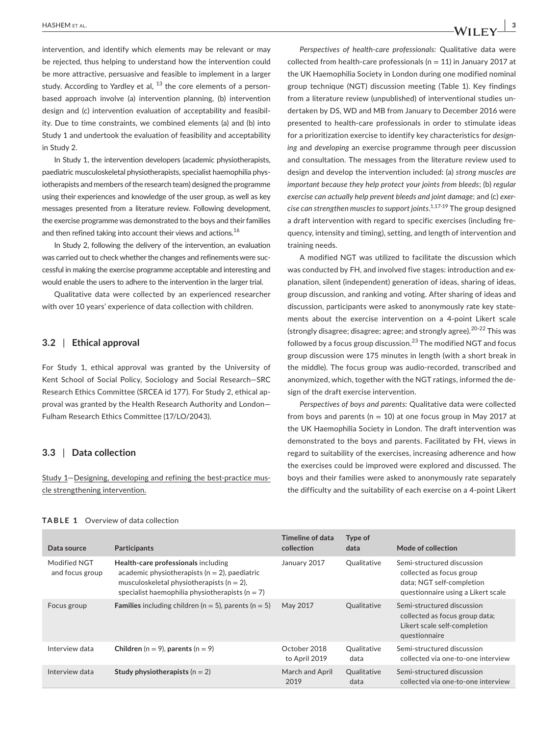intervention, and identify which elements may be relevant or may be rejected, thus helping to understand how the intervention could be more attractive, persuasive and feasible to implement in a larger study. According to Yardley et al,  $^{13}$  the core elements of a personbased approach involve (a) intervention planning, (b) intervention design and (c) intervention evaluation of acceptability and feasibility. Due to time constraints, we combined elements (a) and (b) into Study 1 and undertook the evaluation of feasibility and acceptability in Study 2.

In Study 1, the intervention developers (academic physiotherapists, paediatric musculoskeletal physiotherapists, specialist haemophilia physiotherapists and members of the research team) designed the programme using their experiences and knowledge of the user group, as well as key messages presented from a literature review. Following development, the exercise programme was demonstrated to the boys and their families and then refined taking into account their views and actions.<sup>16</sup>

In Study 2, following the delivery of the intervention, an evaluation was carried out to check whether the changes and refinements were successful in making the exercise programme acceptable and interesting and would enable the users to adhere to the intervention in the larger trial.

Qualitative data were collected by an experienced researcher with over 10 years' experience of data collection with children.

#### **3.2** | **Ethical approval**

For Study 1, ethical approval was granted by the University of Kent School of Social Policy, Sociology and Social Research—SRC Research Ethics Committee (SRCEA id 177). For Study 2, ethical approval was granted by the Health Research Authority and London— Fulham Research Ethics Committee (17/LO/2043).

#### **3.3** | **Data collection**

Study 1—Designing, developing and refining the best-practice muscle strengthening intervention.

*Perspectives of health-care professionals:* Qualitative data were collected from health-care professionals ( $n = 11$ ) in January 2017 at the UK Haemophilia Society in London during one modified nominal group technique (NGT) discussion meeting (Table 1). Key findings from a literature review (unpublished) of interventional studies undertaken by DS, WD and MB from January to December 2016 were presented to health-care professionals in order to stimulate ideas for a prioritization exercise to identify key characteristics for *designing* and *developing* an exercise programme through peer discussion and consultation. The messages from the literature review used to design and develop the intervention included: (a) *strong muscles are important because they help protect your joints from bleeds*; (b) *regular exercise can actually help prevent bleeds and joint damage*; and (c) *exercise can strengthen muscles to support joints*. 1,17-19 The group designed a draft intervention with regard to specific exercises (including frequency, intensity and timing), setting, and length of intervention and training needs.

A modified NGT was utilized to facilitate the discussion which was conducted by FH, and involved five stages: introduction and explanation, silent (independent) generation of ideas, sharing of ideas, group discussion, and ranking and voting. After sharing of ideas and discussion, participants were asked to anonymously rate key statements about the exercise intervention on a 4-point Likert scale (strongly disagree; disagree; agree; and strongly agree).<sup>20-22</sup> This was followed by a focus group discussion. $^{23}$  The modified NGT and focus group discussion were 175 minutes in length (with a short break in the middle). The focus group was audio-recorded, transcribed and anonymized, which, together with the NGT ratings, informed the design of the draft exercise intervention.

*Perspectives of boys and parents:* Qualitative data were collected from boys and parents ( $n = 10$ ) at one focus group in May 2017 at the UK Haemophilia Society in London. The draft intervention was demonstrated to the boys and parents. Facilitated by FH, views in regard to suitability of the exercises, increasing adherence and how the exercises could be improved were explored and discussed. The boys and their families were asked to anonymously rate separately the difficulty and the suitability of each exercise on a 4-point Likert

| Data source                     | Participants                                                                                                                                                                                     | Timeline of data<br>collection | Type of<br>data     | Mode of collection                                                                                                        |
|---------------------------------|--------------------------------------------------------------------------------------------------------------------------------------------------------------------------------------------------|--------------------------------|---------------------|---------------------------------------------------------------------------------------------------------------------------|
| Modified NGT<br>and focus group | Health-care professionals including<br>academic physiotherapists ( $n = 2$ ), paediatric<br>musculoskeletal physiotherapists ( $n = 2$ ),<br>specialist haemophilia physiotherapists ( $n = 7$ ) | January 2017                   | Qualitative         | Semi-structured discussion<br>collected as focus group<br>data; NGT self-completion<br>questionnaire using a Likert scale |
| Focus group                     | <b>Families</b> including children ( $n = 5$ ), parents ( $n = 5$ )                                                                                                                              | May 2017                       | Qualitative         | Semi-structured discussion<br>collected as focus group data;<br>Likert scale self-completion<br>questionnaire             |
| Interview data                  | Children ( $n = 9$ ), parents ( $n = 9$ )                                                                                                                                                        | October 2018<br>to April 2019  | Qualitative<br>data | Semi-structured discussion<br>collected via one-to-one interview                                                          |
| Interview data                  | Study physiotherapists ( $n = 2$ )                                                                                                                                                               | March and April<br>2019        | Qualitative<br>data | Semi-structured discussion<br>collected via one-to-one interview                                                          |

#### **TABLE 1**  Overview of data collection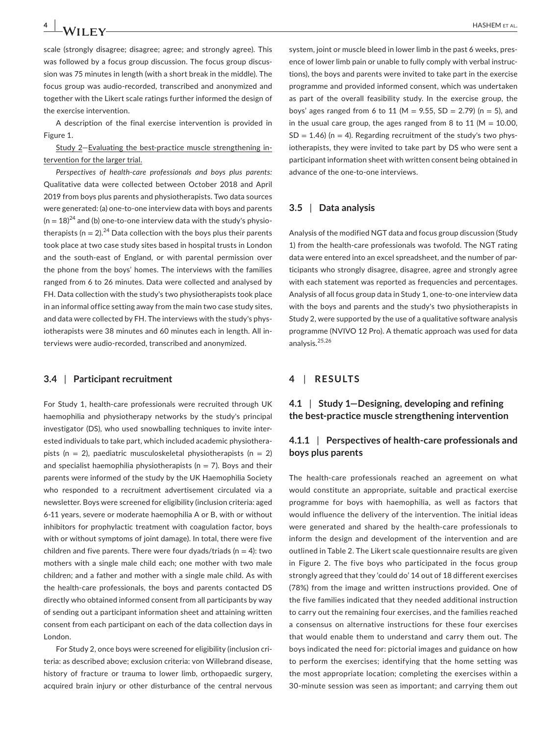scale (strongly disagree; disagree; agree; and strongly agree). This was followed by a focus group discussion. The focus group discussion was 75 minutes in length (with a short break in the middle). The focus group was audio-recorded, transcribed and anonymized and together with the Likert scale ratings further informed the design of the exercise intervention.

A description of the final exercise intervention is provided in Figure 1.

Study 2—Evaluating the best-practice muscle strengthening intervention for the larger trial.

*Perspectives of health-care professionals and boys plus parents:* Qualitative data were collected between October 2018 and April 2019 from boys plus parents and physiotherapists. Two data sources were generated: (a) one-to-one interview data with boys and parents  $(n = 18)^{24}$  and (b) one-to-one interview data with the study's physiotherapists ( $n = 2$ ).<sup>24</sup> Data collection with the boys plus their parents took place at two case study sites based in hospital trusts in London and the south-east of England, or with parental permission over the phone from the boys' homes. The interviews with the families ranged from 6 to 26 minutes. Data were collected and analysed by FH. Data collection with the study's two physiotherapists took place in an informal office setting away from the main two case study sites, and data were collected by FH. The interviews with the study's physiotherapists were 38 minutes and 60 minutes each in length. All interviews were audio-recorded, transcribed and anonymized.

#### **3.4** | **Participant recruitment**

For Study 1, health-care professionals were recruited through UK haemophilia and physiotherapy networks by the study's principal investigator (DS), who used snowballing techniques to invite interested individuals to take part, which included academic physiotherapists ( $n = 2$ ), paediatric musculoskeletal physiotherapists ( $n = 2$ ) and specialist haemophilia physiotherapists ( $n = 7$ ). Boys and their parents were informed of the study by the UK Haemophilia Society who responded to a recruitment advertisement circulated via a newsletter. Boys were screened for eligibility (inclusion criteria: aged 6-11 years, severe or moderate haemophilia A or B, with or without inhibitors for prophylactic treatment with coagulation factor, boys with or without symptoms of joint damage). In total, there were five children and five parents. There were four dyads/triads ( $n = 4$ ): two mothers with a single male child each; one mother with two male children; and a father and mother with a single male child. As with the health-care professionals, the boys and parents contacted DS directly who obtained informed consent from all participants by way of sending out a participant information sheet and attaining written consent from each participant on each of the data collection days in London.

For Study 2, once boys were screened for eligibility (inclusion criteria: as described above; exclusion criteria: von Willebrand disease, history of fracture or trauma to lower limb, orthopaedic surgery, acquired brain injury or other disturbance of the central nervous

system, joint or muscle bleed in lower limb in the past 6 weeks, presence of lower limb pain or unable to fully comply with verbal instructions), the boys and parents were invited to take part in the exercise programme and provided informed consent, which was undertaken as part of the overall feasibility study. In the exercise group, the boys' ages ranged from 6 to 11 (M = 9.55, SD = 2.79) (n = 5), and in the usual care group, the ages ranged from 8 to 11 ( $M = 10.00$ ,  $SD = 1.46$ ) (n = 4). Regarding recruitment of the study's two physiotherapists, they were invited to take part by DS who were sent a participant information sheet with written consent being obtained in advance of the one-to-one interviews.

#### **3.5** | **Data analysis**

Analysis of the modified NGT data and focus group discussion (Study 1) from the health-care professionals was twofold. The NGT rating data were entered into an excel spreadsheet, and the number of participants who strongly disagree, disagree, agree and strongly agree with each statement was reported as frequencies and percentages. Analysis of all focus group data in Study 1, one-to-one interview data with the boys and parents and the study's two physiotherapists in Study 2, were supported by the use of a qualitative software analysis programme (NVIVO 12 Pro). A thematic approach was used for data analysis.25,26

### **4** | **RESULTS**

### **4.1** | **Study 1—Designing, developing and refining the best-practice muscle strengthening intervention**

### **4.1.1** | **Perspectives of health-care professionals and boys plus parents**

The health-care professionals reached an agreement on what would constitute an appropriate, suitable and practical exercise programme for boys with haemophilia, as well as factors that would influence the delivery of the intervention. The initial ideas were generated and shared by the health-care professionals to inform the design and development of the intervention and are outlined in Table 2. The Likert scale questionnaire results are given in Figure 2. The five boys who participated in the focus group strongly agreed that they 'could do' 14 out of 18 different exercises (78%) from the image and written instructions provided. One of the five families indicated that they needed additional instruction to carry out the remaining four exercises, and the families reached a consensus on alternative instructions for these four exercises that would enable them to understand and carry them out. The boys indicated the need for: pictorial images and guidance on how to perform the exercises; identifying that the home setting was the most appropriate location; completing the exercises within a 30-minute session was seen as important; and carrying them out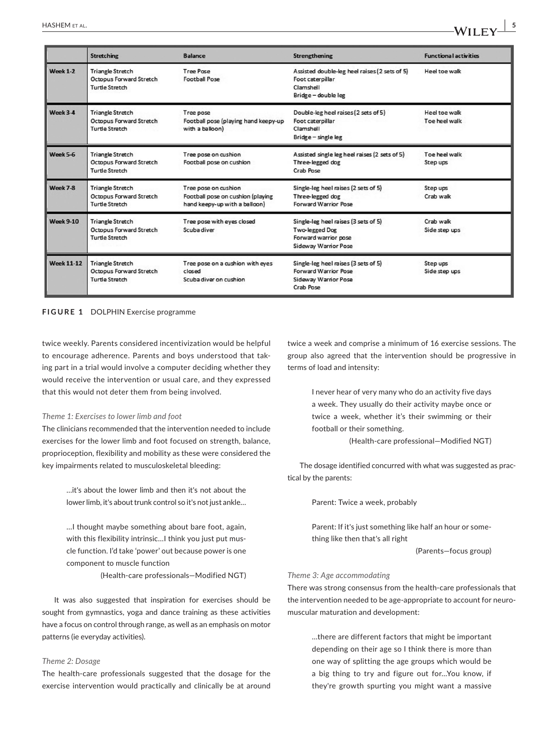|                   | <b>Stretching</b>                                                           | <b>Balance</b>                                                                             | <b>Strengthening</b>                                                                                     | <b>Functional activities</b>   |
|-------------------|-----------------------------------------------------------------------------|--------------------------------------------------------------------------------------------|----------------------------------------------------------------------------------------------------------|--------------------------------|
| Week $1-2$        | <b>Triangle Stretch</b><br>Octopus Forward Stretch<br><b>Turtle Stretch</b> | Tree Pose<br><b>Football Pose</b>                                                          | Assisted double-leg heel raises (2 sets of 5)<br>Foot caterpillar<br>Clamshell<br>Bridge - double leg    | Heel toe walk                  |
| $W$ eek $3-A$     | <b>Triangle Stretch</b><br>Octopus Forward Stretch<br><b>Turtle Stretch</b> | Tree pose<br>Football pose (playing hand keepy-up<br>with a balloon)                       | Double-leg heel raises (2 sets of 5)<br>Foot caterpillar<br>Clamshell<br>Bridge - single leg             | Heel toe walk<br>Toe heel walk |
| Week 5-6          | <b>Triangle Stretch</b><br>Octopus Forward Stretch<br><b>Turtle Stretch</b> | Tree pose on cushion<br>Football pose on cushion                                           | Assisted single leg heel raises (2 sets of 5)<br>Three-legged dog<br>Crab Pose                           | Toe heel walk<br>Step ups      |
| Week 7-8          | <b>Triangle Stretch</b><br>Octopus Forward Stretch<br>Turtle Stretch        | Tree pose on cushion<br>Football pose on cushion (playing<br>hand keepy-up with a balloon) | Single-leg heel raises (2 sets of 5)<br>Three-legged dog<br>Forward Warrior Pose                         | Step ups<br>Crab walk          |
| <b>Week 9-10</b>  | <b>Triangle Stretch</b><br>Octopus Forward Stretch<br><b>Turtle Stretch</b> | Tree pose with eyes closed<br><b>Scubadiver</b>                                            | Single-leg heel raises (3 sets of 5)<br>Two-legged Dog<br>Forward warrior pose<br>Sideway Warrior Pose   | Crab walk<br>Side step ups     |
| <b>Week 11-12</b> | <b>Triangle Stretch</b><br>Octopus Forward Stretch<br><b>Turtle Stretch</b> | Tree pose on a cushion with eyes<br>closed<br>Scuba diver on cushion                       | Single-leg heel raises (3 sets of 5)<br><b>Forward Warrior Pose</b><br>Sideway Warrior Pose<br>Crab Pose | Step ups<br>Side step ups      |

**FIGURE 1** DOLPHIN Exercise programme

twice weekly. Parents considered incentivization would be helpful to encourage adherence. Parents and boys understood that taking part in a trial would involve a computer deciding whether they would receive the intervention or usual care, and they expressed that this would not deter them from being involved.

#### *Theme 1: Exercises to lower limb and foot*

The clinicians recommended that the intervention needed to include exercises for the lower limb and foot focused on strength, balance, proprioception, flexibility and mobility as these were considered the key impairments related to musculoskeletal bleeding:

> …it's about the lower limb and then it's not about the lower limb, it's about trunk control so it's not just ankle…

> …I thought maybe something about bare foot, again, with this flexibility intrinsic…I think you just put muscle function. I'd take 'power' out because power is one component to muscle function

> > (Health-care professionals—Modified NGT)

It was also suggested that inspiration for exercises should be sought from gymnastics, yoga and dance training as these activities have a focus on control through range, as well as an emphasis on motor patterns (ie everyday activities).

#### *Theme 2: Dosage*

The health-care professionals suggested that the dosage for the exercise intervention would practically and clinically be at around twice a week and comprise a minimum of 16 exercise sessions. The group also agreed that the intervention should be progressive in terms of load and intensity:

> I never hear of very many who do an activity five days a week. They usually do their activity maybe once or twice a week, whether it's their swimming or their football or their something.

> > (Health-care professional—Modified NGT)

The dosage identified concurred with what was suggested as practical by the parents:

Parent: Twice a week, probably

Parent: If it's just something like half an hour or something like then that's all right

(Parents—focus group)

#### *Theme 3: Age accommodating*

There was strong consensus from the health-care professionals that the intervention needed to be age-appropriate to account for neuromuscular maturation and development:

> …there are different factors that might be important depending on their age so I think there is more than one way of splitting the age groups which would be a big thing to try and figure out for…You know, if they're growth spurting you might want a massive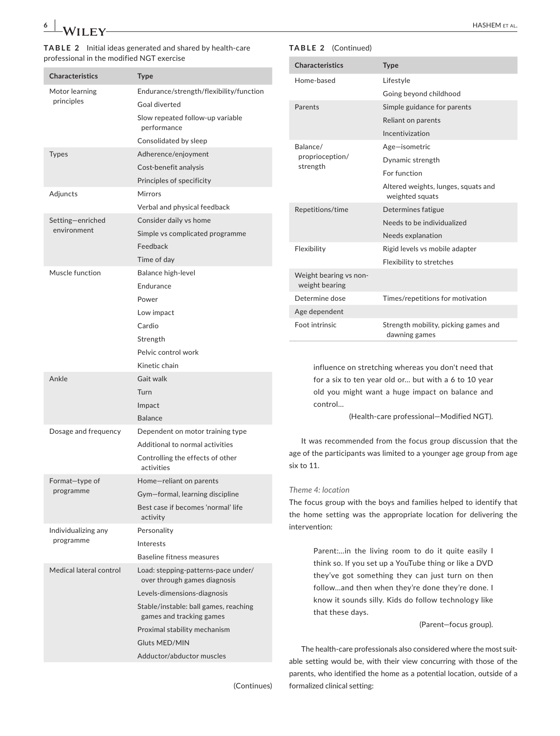#### **TABLE 2** Initial ideas generated and shared by health-care professional in the modified NGT exercise

| <b>Characteristics</b>  | <b>Type</b>                                                         |
|-------------------------|---------------------------------------------------------------------|
| Motor learning          | Endurance/strength/flexibility/function                             |
| principles              | Goal diverted                                                       |
|                         | Slow repeated follow-up variable<br>performance                     |
|                         | Consolidated by sleep                                               |
| <b>Types</b>            | Adherence/enjoyment                                                 |
|                         | Cost-benefit analysis                                               |
|                         | Principles of specificity                                           |
| Adjuncts                | Mirrors                                                             |
|                         | Verbal and physical feedback                                        |
| Setting-enriched        | Consider daily vs home                                              |
| environment             | Simple vs complicated programme                                     |
|                         | Feedback                                                            |
|                         | Time of day                                                         |
| Muscle function         | Balance high-level                                                  |
|                         | Endurance                                                           |
|                         | Power                                                               |
|                         | Low impact                                                          |
|                         | Cardio                                                              |
|                         | Strength                                                            |
|                         | Pelvic control work                                                 |
|                         | Kinetic chain                                                       |
| Ankle                   | Gait walk                                                           |
|                         | Turn                                                                |
|                         | Impact                                                              |
|                         | <b>Balance</b>                                                      |
| Dosage and frequency    | Dependent on motor training type                                    |
|                         | Additional to normal activities                                     |
|                         | Controlling the effects of other<br>activities                      |
| Format-type of          | Home-reliant on parents                                             |
| programme               | Gym-formal, learning discipline                                     |
|                         | Best case if becomes 'normal' life<br>activity                      |
| Individualizing any     | Personality                                                         |
| programme               | Interests                                                           |
|                         | <b>Baseline fitness measures</b>                                    |
| Medical lateral control | Load: stepping-patterns-pace under/<br>over through games diagnosis |
|                         | Levels-dimensions-diagnosis                                         |
|                         | Stable/instable: ball games, reaching<br>games and tracking games   |
|                         | Proximal stability mechanism                                        |
|                         | <b>Gluts MED/MIN</b>                                                |
|                         | Adductor/abductor muscles                                           |

# **TABLE 2** (Continued)

| <b>Characteristics</b>                   | <b>Type</b>                                            |
|------------------------------------------|--------------------------------------------------------|
| Home-based                               | Lifestyle                                              |
|                                          | Going beyond childhood                                 |
| Parents                                  | Simple guidance for parents                            |
|                                          | Reliant on parents                                     |
|                                          | Incentivization                                        |
| Balance/                                 | Age-isometric                                          |
| proprioception/                          | Dynamic strength                                       |
| strength                                 | For function                                           |
|                                          | Altered weights, lunges, squats and<br>weighted squats |
| Repetitions/time                         | Determines fatigue                                     |
|                                          | Needs to be individualized                             |
|                                          | Needs explanation                                      |
| Flexibility                              | Rigid levels vs mobile adapter                         |
|                                          | Flexibility to stretches                               |
| Weight bearing vs non-<br>weight bearing |                                                        |
| Determine dose                           | Times/repetitions for motivation                       |
| Age dependent                            |                                                        |
| Foot intrinsic                           | Strength mobility, picking games and<br>dawning games  |

influence on stretching whereas you don't need that for a six to ten year old or… but with a 6 to 10 year old you might want a huge impact on balance and control…

(Health-care professional—Modified NGT).

It was recommended from the focus group discussion that the age of the participants was limited to a younger age group from age six to 11.

#### *Theme 4: location*

The focus group with the boys and families helped to identify that the home setting was the appropriate location for delivering the intervention:

> Parent:…in the living room to do it quite easily I think so. If you set up a YouTube thing or like a DVD they've got something they can just turn on then follow…and then when they're done they're done. I know it sounds silly. Kids do follow technology like that these days.

> > (Parent—focus group).

The health-care professionals also considered where the most suitable setting would be, with their view concurring with those of the parents, who identified the home as a potential location, outside of a formalized clinical setting: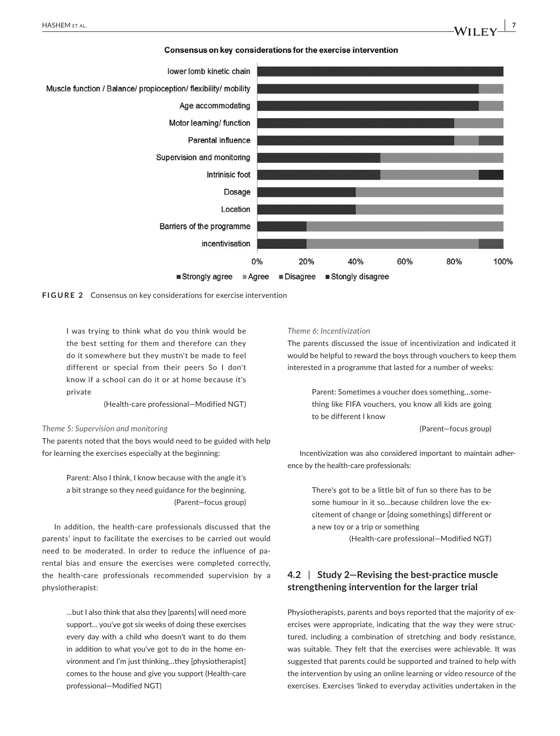





I was trying to think what do you think would be the best setting for them and therefore can they do it somewhere but they mustn't be made to feel different or special from their peers So I don't know if a school can do it or at home because it's private

(Health-care professional—Modified NGT)

#### *Theme 5: Supervision and monitoring*

The parents noted that the boys would need to be guided with help for learning the exercises especially at the beginning:

> Parent: Also I think, I know because with the angle it's a bit strange so they need guidance for the beginning. (Parent—focus group)

In addition, the health-care professionals discussed that the parents' input to facilitate the exercises to be carried out would need to be moderated. In order to reduce the influence of parental bias and ensure the exercises were completed correctly, the health-care professionals recommended supervision by a physiotherapist:

> …but I also think that also they [parents] will need more support… you've got six weeks of doing these exercises every day with a child who doesn't want to do them in addition to what you've got to do in the home environment and I'm just thinking…they [physiotherapist] comes to the house and give you support (Health-care professional—Modified NGT)

#### *Theme 6: Incentivization*

The parents discussed the issue of incentivization and indicated it would be helpful to reward the boys through vouchers to keep them interested in a programme that lasted for a number of weeks:

> Parent: Sometimes a voucher does something…something like FIFA vouchers, you know all kids are going to be different I know

> > (Parent—focus group)

Incentivization was also considered important to maintain adherence by the health-care professionals:

> There's got to be a little bit of fun so there has to be some humour in it so…because children love the excitement of change or [doing somethings] different or a new toy or a trip or something

> > (Health-care professional—Modified NGT)

# **4.2** | **Study 2—Revising the best-practice muscle strengthening intervention for the larger trial**

Physiotherapists, parents and boys reported that the majority of exercises were appropriate, indicating that the way they were structured, including a combination of stretching and body resistance, was suitable. They felt that the exercises were achievable. It was suggested that parents could be supported and trained to help with the intervention by using an online learning or video resource of the exercises. Exercises 'linked to everyday activities undertaken in the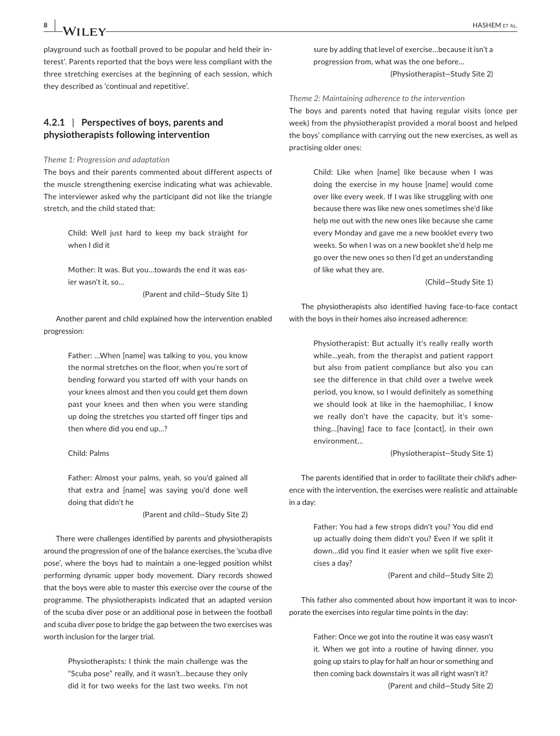playground such as football proved to be popular and held their interest'. Parents reported that the boys were less compliant with the three stretching exercises at the beginning of each session, which they described as 'continual and repetitive'.

# **4.2.1** | **Perspectives of boys, parents and physiotherapists following intervention**

*Theme 1: Progression and adaptation*

The boys and their parents commented about different aspects of the muscle strengthening exercise indicating what was achievable. The interviewer asked why the participant did not like the triangle stretch, and the child stated that:

> Child: Well just hard to keep my back straight for when I did it

> Mother: It was. But you…towards the end it was easier wasn't it, so

> > (Parent and child—Study Site 1)

Another parent and child explained how the intervention enabled progression:

> Father: …When [name] was talking to you, you know the normal stretches on the floor, when you're sort of bending forward you started off with your hands on your knees almost and then you could get them down past your knees and then when you were standing up doing the stretches you started off finger tips and then where did you end up…?

#### Child: Palms

Father: Almost your palms, yeah, so you'd gained all that extra and [name] was saying you'd done well doing that didn't he

(Parent and child—Study Site 2)

There were challenges identified by parents and physiotherapists around the progression of one of the balance exercises, the 'scuba dive pose', where the boys had to maintain a one-legged position whilst performing dynamic upper body movement. Diary records showed that the boys were able to master this exercise over the course of the programme. The physiotherapists indicated that an adapted version of the scuba diver pose or an additional pose in between the football and scuba diver pose to bridge the gap between the two exercises was worth inclusion for the larger trial.

> Physiotherapists: I think the main challenge was the "Scuba pose" really, and it wasn't…because they only did it for two weeks for the last two weeks. I'm not

sure by adding that level of exercise…because it isn't a progression from, what was the one before… (Physiotherapist—Study Site 2)

*Theme 2: Maintaining adherence to the intervention* The boys and parents noted that having regular visits (once per week) from the physiotherapist provided a moral boost and helped the boys' compliance with carrying out the new exercises, as well as practising older ones:

> Child: Like when [name] like because when I was doing the exercise in my house [name] would come over like every week. If I was like struggling with one because there was like new ones sometimes she'd like help me out with the new ones like because she came every Monday and gave me a new booklet every two weeks. So when I was on a new booklet she'd help me go over the new ones so then I'd get an understanding of like what they are.

> > (Child—Study Site 1)

The physiotherapists also identified having face-to-face contact with the boys in their homes also increased adherence:

> Physiotherapist: But actually it's really really worth while…yeah, from the therapist and patient rapport but also from patient compliance but also you can see the difference in that child over a twelve week period, you know, so I would definitely as something we should look at like in the haemophiliac, I know we really don't have the capacity, but it's something…[having] face to face [contact], in their own environment…

> > (Physiotherapist—Study Site 1)

The parents identified that in order to facilitate their child's adherence with the intervention, the exercises were realistic and attainable in a day:

> Father: You had a few strops didn't you? You did end up actually doing them didn't you? Even if we split it down…did you find it easier when we split five exercises a day?

> > (Parent and child—Study Site 2)

This father also commented about how important it was to incorporate the exercises into regular time points in the day:

> Father: Once we got into the routine it was easy wasn't it. When we got into a routine of having dinner, you going up stairs to play for half an hour or something and then coming back downstairs it was all right wasn't it? (Parent and child—Study Site 2)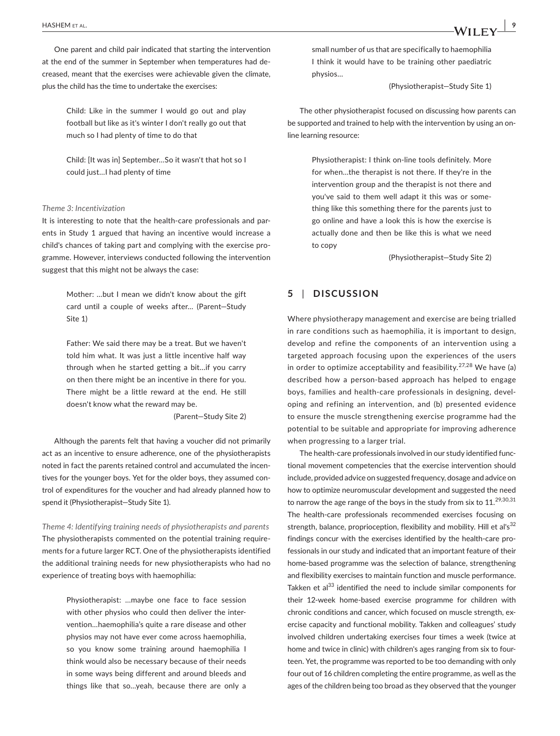One parent and child pair indicated that starting the intervention at the end of the summer in September when temperatures had decreased, meant that the exercises were achievable given the climate, plus the child has the time to undertake the exercises:

> Child: Like in the summer I would go out and play football but like as it's winter I don't really go out that much so I had plenty of time to do that

> Child: [It was in] September…So it wasn't that hot so I could just…I had plenty of time

#### *Theme 3: Incentivization*

It is interesting to note that the health-care professionals and parents in Study 1 argued that having an incentive would increase a child's chances of taking part and complying with the exercise programme. However, interviews conducted following the intervention suggest that this might not be always the case:

> Mother: …but I mean we didn't know about the gift card until a couple of weeks after… (Parent—Study Site 1)

> Father: We said there may be a treat. But we haven't told him what. It was just a little incentive half way through when he started getting a bit…if you carry on then there might be an incentive in there for you. There might be a little reward at the end. He still doesn't know what the reward may be.

> > (Parent—Study Site 2)

Although the parents felt that having a voucher did not primarily act as an incentive to ensure adherence, one of the physiotherapists noted in fact the parents retained control and accumulated the incentives for the younger boys. Yet for the older boys, they assumed control of expenditures for the voucher and had already planned how to spend it (Physiotherapist—Study Site 1).

*Theme 4: Identifying training needs of physiotherapists and parents* The physiotherapists commented on the potential training requirements for a future larger RCT. One of the physiotherapists identified the additional training needs for new physiotherapists who had no experience of treating boys with haemophilia:

> Physiotherapist: …maybe one face to face session with other physios who could then deliver the intervention…haemophilia's quite a rare disease and other physios may not have ever come across haemophilia, so you know some training around haemophilia I think would also be necessary because of their needs in some ways being different and around bleeds and things like that so…yeah, because there are only a

small number of us that are specifically to haemophilia I think it would have to be training other paediatric physios…

(Physiotherapist—Study Site 1)

The other physiotherapist focused on discussing how parents can be supported and trained to help with the intervention by using an online learning resource:

> Physiotherapist: I think on-line tools definitely. More for when…the therapist is not there. If they're in the intervention group and the therapist is not there and you've said to them well adapt it this was or something like this something there for the parents just to go online and have a look this is how the exercise is actually done and then be like this is what we need to copy

> > (Physiotherapist—Study Site 2)

### **5** | **DISCUSSION**

Where physiotherapy management and exercise are being trialled in rare conditions such as haemophilia, it is important to design, develop and refine the components of an intervention using a targeted approach focusing upon the experiences of the users in order to optimize acceptability and feasibility.<sup>27,28</sup> We have (a) described how a person-based approach has helped to engage boys, families and health-care professionals in designing, developing and refining an intervention, and (b) presented evidence to ensure the muscle strengthening exercise programme had the potential to be suitable and appropriate for improving adherence when progressing to a larger trial.

The health-care professionals involved in our study identified functional movement competencies that the exercise intervention should include, provided advice on suggested frequency, dosage and advice on how to optimize neuromuscular development and suggested the need to narrow the age range of the boys in the study from six to  $11.^{29,30,31}$ The health-care professionals recommended exercises focusing on strength, balance, proprioception, flexibility and mobility. Hill et al's<sup>32</sup> findings concur with the exercises identified by the health-care professionals in our study and indicated that an important feature of their home-based programme was the selection of balance, strengthening and flexibility exercises to maintain function and muscle performance. Takken et al<sup>33</sup> identified the need to include similar components for their 12-week home-based exercise programme for children with chronic conditions and cancer, which focused on muscle strength, exercise capacity and functional mobility. Takken and colleagues' study involved children undertaking exercises four times a week (twice at home and twice in clinic) with children's ages ranging from six to fourteen. Yet, the programme was reported to be too demanding with only four out of 16 children completing the entire programme, as well as the ages of the children being too broad as they observed that the younger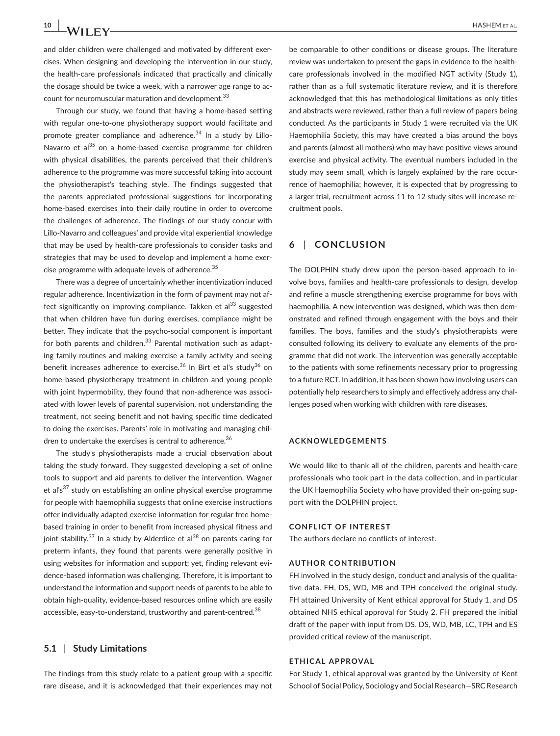and older children were challenged and motivated by different exercises. When designing and developing the intervention in our study, the health-care professionals indicated that practically and clinically the dosage should be twice a week, with a narrower age range to account for neuromuscular maturation and development.<sup>33</sup>

Through our study, we found that having a home-based setting with regular one-to-one physiotherapy support would facilitate and promote greater compliance and adherence.<sup>34</sup> In a study by Lillo-Navarro et al<sup>35</sup> on a home-based exercise programme for children with physical disabilities, the parents perceived that their children's adherence to the programme was more successful taking into account the physiotherapist's teaching style. The findings suggested that the parents appreciated professional suggestions for incorporating home-based exercises into their daily routine in order to overcome the challenges of adherence. The findings of our study concur with Lillo-Navarro and colleagues' and provide vital experiential knowledge that may be used by health-care professionals to consider tasks and strategies that may be used to develop and implement a home exercise programme with adequate levels of adherence.<sup>35</sup>

There was a degree of uncertainly whether incentivization induced regular adherence. Incentivization in the form of payment may not affect significantly on improving compliance. Takken et al $^{33}$  suggested that when children have fun during exercises, compliance might be better. They indicate that the psycho-social component is important for both parents and children. $33$  Parental motivation such as adapting family routines and making exercise a family activity and seeing benefit increases adherence to exercise.<sup>36</sup> In Birt et al's study<sup>36</sup> on home-based physiotherapy treatment in children and young people with joint hypermobility, they found that non-adherence was associated with lower levels of parental supervision, not understanding the treatment, not seeing benefit and not having specific time dedicated to doing the exercises. Parents' role in motivating and managing children to undertake the exercises is central to adherence.<sup>36</sup>

The study's physiotherapists made a crucial observation about taking the study forward. They suggested developing a set of online tools to support and aid parents to deliver the intervention. Wagner et al's $37$  study on establishing an online physical exercise programme for people with haemophilia suggests that online exercise instructions offer individually adapted exercise information for regular free homebased training in order to benefit from increased physical fitness and joint stability.<sup>37</sup> In a study by Alderdice et al<sup>38</sup> on parents caring for preterm infants, they found that parents were generally positive in using websites for information and support; yet, finding relevant evidence-based information was challenging. Therefore, it is important to understand the information and support needs of parents to be able to obtain high-quality, evidence-based resources online which are easily accessible, easy-to-understand, trustworthy and parent-centred.<sup>38</sup>

#### **5.1** | **Study Limitations**

The findings from this study relate to a patient group with a specific rare disease, and it is acknowledged that their experiences may not

be comparable to other conditions or disease groups. The literature review was undertaken to present the gaps in evidence to the healthcare professionals involved in the modified NGT activity (Study 1), rather than as a full systematic literature review, and it is therefore acknowledged that this has methodological limitations as only titles and abstracts were reviewed, rather than a full review of papers being conducted. As the participants in Study 1 were recruited via the UK Haemophilia Society, this may have created a bias around the boys and parents (almost all mothers) who may have positive views around exercise and physical activity. The eventual numbers included in the study may seem small, which is largely explained by the rare occurrence of haemophilia; however, it is expected that by progressing to a larger trial, recruitment across 11 to 12 study sites will increase recruitment pools.

# **6** | **CONCLUSION**

The DOLPHIN study drew upon the person-based approach to involve boys, families and health-care professionals to design, develop and refine a muscle strengthening exercise programme for boys with haemophilia. A new intervention was designed, which was then demonstrated and refined through engagement with the boys and their families. The boys, families and the study's physiotherapists were consulted following its delivery to evaluate any elements of the programme that did not work. The intervention was generally acceptable to the patients with some refinements necessary prior to progressing to a future RCT. In addition, it has been shown how involving users can potentially help researchers to simply and effectively address any challenges posed when working with children with rare diseases.

#### **ACKNOWLEDGEMENTS**

We would like to thank all of the children, parents and health-care professionals who took part in the data collection, and in particular the UK Haemophilia Society who have provided their on-going support with the DOLPHIN project.

#### **CONFLICT OF INTEREST**

The authors declare no conflicts of interest.

#### **AUTHOR CONTRIBUTION**

FH involved in the study design, conduct and analysis of the qualitative data. FH, DS, WD, MB and TPH conceived the original study. FH attained University of Kent ethical approval for Study 1, and DS obtained NHS ethical approval for Study 2. FH prepared the initial draft of the paper with input from DS. DS, WD, MB, LC, TPH and ES provided critical review of the manuscript.

#### **ETHICAL APPROVAL**

For Study 1, ethical approval was granted by the University of Kent School of Social Policy, Sociology and Social Research—SRC Research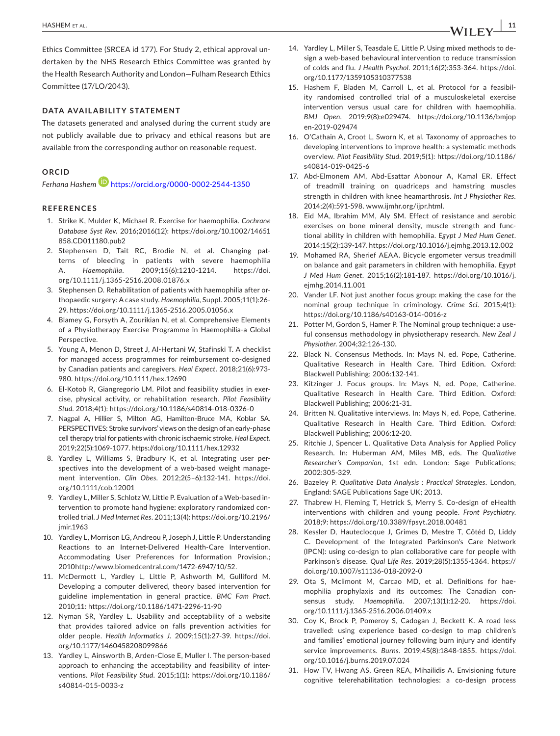Ethics Committee (SRCEA id 177). For Study 2, ethical approval undertaken by the NHS Research Ethics Committee was granted by the Health Research Authority and London—Fulham Research Ethics Committee (17/LO/2043).

#### **DATA AVAILABILITY STATEMENT**

The datasets generated and analysed during the current study are not publicly available due to privacy and ethical reasons but are available from the corresponding author on reasonable request.

#### **ORCID**

*Ferhana Hashe[m](https://orcid.org/0000-0002-2544-1350)* <https://orcid.org/0000-0002-2544-1350>

#### **REFERENCES**

- 1. Strike K, Mulder K, Michael R. Exercise for haemophilia. *Cochrane Database Syst Rev*. 2016;2016(12): [https://doi.org/10.1002/14651](https://doi.org/10.1002/14651858.CD011180.pub2) [858.CD011180.pub2](https://doi.org/10.1002/14651858.CD011180.pub2)
- 2. Stephensen D, Tait RC, Brodie N, et al. Changing patterns of bleeding in patients with severe haemophilia A. *Haemophilia*. 2009;15(6):1210-1214. [https://doi.](https://doi.org/10.1111/j.1365-2516.2008.01876.x) [org/10.1111/j.1365-2516.2008.01876.x](https://doi.org/10.1111/j.1365-2516.2008.01876.x)
- 3. Stephensen D. Rehabilitation of patients with haemophilia after orthopaedic surgery: A case study. *Haemophilia*, Suppl. 2005;11(1):26- 29.<https://doi.org/10.1111/j.1365-2516.2005.01056.x>
- 4. Blamey G, Forsyth A, Zourikian N, et al. Comprehensive Elements of a Physiotherapy Exercise Programme in Haemophilia-a Global Perspective.
- 5. Young A, Menon D, Street J, Al-Hertani W, Stafinski T. A checklist for managed access programmes for reimbursement co-designed by Canadian patients and caregivers. *Heal Expect*. 2018;21(6):973- 980.<https://doi.org/10.1111/hex.12690>
- 6. El-Kotob R, Giangregorio LM. Pilot and feasibility studies in exercise, physical activity, or rehabilitation research. *Pilot Feasibility Stud*. 2018;4(1): <https://doi.org/10.1186/s40814-018-0326-0>
- 7. Nagpal A, Hillier S, Milton AG, Hamilton-Bruce MA, Koblar SA. PERSPECTIVES: Stroke survivors' views on the design of an early-phase cell therapy trial for patients with chronic ischaemic stroke. *Heal Expect*. 2019;22(5):1069-1077.<https://doi.org/10.1111/hex.12932>
- 8. Yardley L, Williams S, Bradbury K, et al. Integrating user perspectives into the development of a web-based weight management intervention. *Clin Obes*. 2012;2(5–6):132-141. [https://doi.](https://doi.org/10.1111/cob.12001) [org/10.1111/cob.12001](https://doi.org/10.1111/cob.12001)
- 9. Yardley L, Miller S, Schlotz W, Little P. Evaluation of a Web-based intervention to promote hand hygiene: exploratory randomized controlled trial. *J Med Internet Res*. 2011;13(4): [https://doi.org/10.2196/](https://doi.org/10.2196/jmir.1963) [jmir.1963](https://doi.org/10.2196/jmir.1963)
- 10. Yardley L, Morrison LG, Andreou P, Joseph J, Little P. Understanding Reactions to an Internet-Delivered Health-Care Intervention. Accommodating User Preferences for Information Provision.; 2010<http://www.biomedcentral.com/1472-6947/10/52.>
- 11. McDermott L, Yardley L, Little P, Ashworth M, Gulliford M. Developing a computer delivered, theory based intervention for guideline implementation in general practice. *BMC Fam Pract*. 2010;11: <https://doi.org/10.1186/1471-2296-11-90>
- 12. Nyman SR, Yardley L. Usability and acceptability of a website that provides tailored advice on falls prevention activities for older people. *Health Informatics J*. 2009;15(1):27-39. [https://doi.](https://doi.org/10.1177/1460458208099866) [org/10.1177/1460458208099866](https://doi.org/10.1177/1460458208099866)
- 13. Yardley L, Ainsworth B, Arden-Close E, Muller I. The person-based approach to enhancing the acceptability and feasibility of interventions. *Pilot Feasibility Stud*. 2015;1(1): [https://doi.org/10.1186/](https://doi.org/10.1186/s40814-015-0033-z) [s40814-015-0033-z](https://doi.org/10.1186/s40814-015-0033-z)
- 14. Yardley L, Miller S, Teasdale E, Little P. Using mixed methods to design a web-based behavioural intervention to reduce transmission of colds and flu. *J Health Psychol*. 2011;16(2):353-364. [https://doi.](https://doi.org/10.1177/1359105310377538) [org/10.1177/1359105310377538](https://doi.org/10.1177/1359105310377538)
- 15. Hashem F, Bladen M, Carroll L, et al. Protocol for a feasibility randomised controlled trial of a musculoskeletal exercise intervention versus usual care for children with haemophilia. *BMJ Open*. 2019;9(8):e029474. [https://doi.org/10.1136/bmjop](https://doi.org/10.1136/bmjopen-2019-029474) [en-2019-029474](https://doi.org/10.1136/bmjopen-2019-029474)
- 16. O'Cathain A, Croot L, Sworn K, et al. Taxonomy of approaches to developing interventions to improve health: a systematic methods overview. *Pilot Feasibility Stud*. 2019;5(1): [https://doi.org/10.1186/](https://doi.org/10.1186/s40814-019-0425-6) [s40814-019-0425-6](https://doi.org/10.1186/s40814-019-0425-6)
- 17. Abd-Elmonem AM, Abd-Esattar Abonour A, Kamal ER. Effect of treadmill training on quadriceps and hamstring muscles strength in children with knee heamarthrosis. *Int J Physiother Res.* 2014;2(4):591-598. www.ijmhr.org/ijpr.html.
- 18. Eid MA, Ibrahim MM, Aly SM. Effect of resistance and aerobic exercises on bone mineral density, muscle strength and functional ability in children with hemophilia. *Egypt J Med Hum Genet*. 2014;15(2):139-147.<https://doi.org/10.1016/j.ejmhg.2013.12.002>
- 19. Mohamed RA, Sherief AEAA. Bicycle ergometer versus treadmill on balance and gait parameters in children with hemophilia. *Egypt J Med Hum Genet*. 2015;16(2):181-187. [https://doi.org/10.1016/j.](https://doi.org/10.1016/j.ejmhg.2014.11.001) [ejmhg.2014.11.001](https://doi.org/10.1016/j.ejmhg.2014.11.001)
- 20. Vander LF. Not just another focus group: making the case for the nominal group technique in criminology. *Crime Sci*. 2015;4(1): <https://doi.org/10.1186/s40163-014-0016-z>
- 21. Potter M, Gordon S, Hamer P. The Nominal group technique: a useful consensus methodology in physiotherapy research. *New Zeal J Physiother*. 2004;32:126-130.
- 22. Black N. Consensus Methods. In: Mays N, ed. Pope, Catherine. Qualitative Research in Health Care. Third Edition. Oxford: Blackwell Publishing; 2006:132-141.
- 23. Kitzinger J. Focus groups. In: Mays N, ed. Pope, Catherine. Qualitative Research in Health Care. Third Edition. Oxford: Blackwell Publishing; 2006:21-31.
- 24. Britten N. Qualitative interviews. In: Mays N, ed. Pope, Catherine. Qualitative Research in Health Care. Third Edition. Oxford: Blackwell Publishing; 2006:12-20.
- 25. Ritchie J, Spencer L. Qualitative Data Analysis for Applied Policy Research. In: Huberman AM, Miles MB, eds. *The Qualitative Researcher's Companion*, 1st edn. London: Sage Publications; 2002:305-329.
- 26. Bazeley P. *Qualitative Data Analysis : Practical Strategies*. London, England: SAGE Publications Sage UK; 2013.
- 27. Thabrew H, Fleming T, Hetrick S, Merry S. Co-design of eHealth interventions with children and young people. *Front Psychiatry*. 2018;9:<https://doi.org/10.3389/fpsyt.2018.00481>
- 28. Kessler D, Hauteclocque J, Grimes D, Mestre T, Côtéd D, Liddy C. Development of the Integrated Parkinson's Care Network (IPCN): using co-design to plan collaborative care for people with Parkinson's disease. *Qual Life Res*. 2019;28(5):1355-1364. [https://](https://doi.org/10.1007/s11136-018-2092-0) [doi.org/10.1007/s11136-018-2092-0](https://doi.org/10.1007/s11136-018-2092-0)
- 29. Ota S, Mclimont M, Carcao MD, et al. Definitions for haemophilia prophylaxis and its outcomes: The Canadian consensus study. *Haemophilia*. 2007;13(1):12-20. [https://doi.](https://doi.org/10.1111/j.1365-2516.2006.01409.x) [org/10.1111/j.1365-2516.2006.01409.x](https://doi.org/10.1111/j.1365-2516.2006.01409.x)
- 30. Coy K, Brock P, Pomeroy S, Cadogan J, Beckett K. A road less travelled: using experience based co-design to map children's and families' emotional journey following burn injury and identify service improvements. *Burns*. 2019;45(8):1848-1855. [https://doi.](https://doi.org/10.1016/j.burns.2019.07.024) [org/10.1016/j.burns.2019.07.024](https://doi.org/10.1016/j.burns.2019.07.024)
- 31. How TV, Hwang AS, Green REA, Mihailidis A. Envisioning future cognitive telerehabilitation technologies: a co-design process